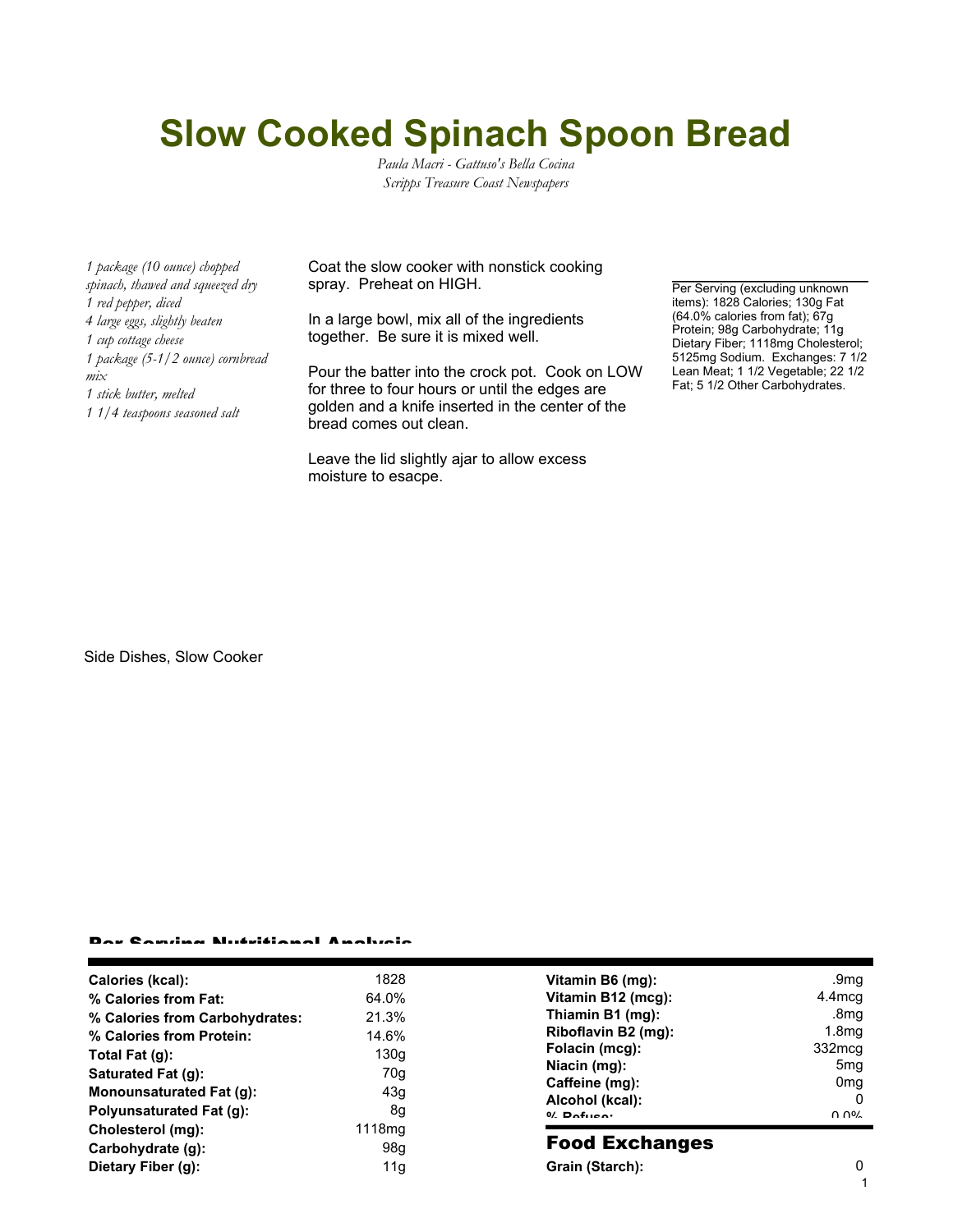## **Slow Cooked Spinach Spoon Bread**

*Paula Macri - Gattuso's Bella Cocina Scripps Treasure Coast Newspapers*

*1 package (10 ounce) chopped spinach, thawed and squeezed dry 1 red pepper, diced 4 large eggs, slightly beaten 1 cup cottage cheese 1 package (5-1/2 ounce) cornbread mix 1 stick butter, melted 1 1/4 teaspoons seasoned salt*

Coat the slow cooker with nonstick cooking spray. Preheat on HIGH.

In a large bowl, mix all of the ingredients together. Be sure it is mixed well.

Pour the batter into the crock pot. Cook on LOW for three to four hours or until the edges are golden and a knife inserted in the center of the bread comes out clean.

Leave the lid slightly ajar to allow excess moisture to esacpe.

Per Serving (excluding unknown items): 1828 Calories; 130g Fat (64.0% calories from fat); 67g Protein; 98g Carbohydrate; 11g Dietary Fiber; 1118mg Cholesterol; 5125mg Sodium. Exchanges: 7 1/2 Lean Meat; 1 1/2 Vegetable; 22 1/2 Fat; 5 1/2 Other Carbohydrates.

Side Dishes, Slow Cooker

## ar Camilan Nutritional Analysis

| Calories (kcal):               | 1828               |
|--------------------------------|--------------------|
| % Calories from Fat:           | 64.0%              |
| % Calories from Carbohydrates: | 21.3%              |
| % Calories from Protein:       | 14.6%              |
| Total Fat (g):                 | 130q               |
| Saturated Fat (g):             | 70a                |
| Monounsaturated Fat (g):       | 43q                |
| Polyunsaturated Fat (q):       | 8q                 |
| Cholesterol (mg):              | 1118 <sub>mq</sub> |
| Carbohydrate (g):              | 98a                |
| Dietary Fiber (g):             | 11a                |

| Vitamin B6 (mg):    | .9mq              |
|---------------------|-------------------|
| Vitamin B12 (mcg):  | 4.4mcg            |
| Thiamin B1 (mg):    | .8 <sub>m</sub> g |
| Riboflavin B2 (mg): | 1.8 <sub>mq</sub> |
| Folacin (mcg):      | 332mcg            |
| Niacin (mg):        | 5 <sub>mq</sub>   |
| Caffeine (mg):      | 0 <sub>mq</sub>   |
| Alcohol (kcal):     |                   |
| $0/$ Dofuson        | ስ ሰዐረ             |
|                     |                   |

## Food Exchanges

**Grain (Starch):** 0